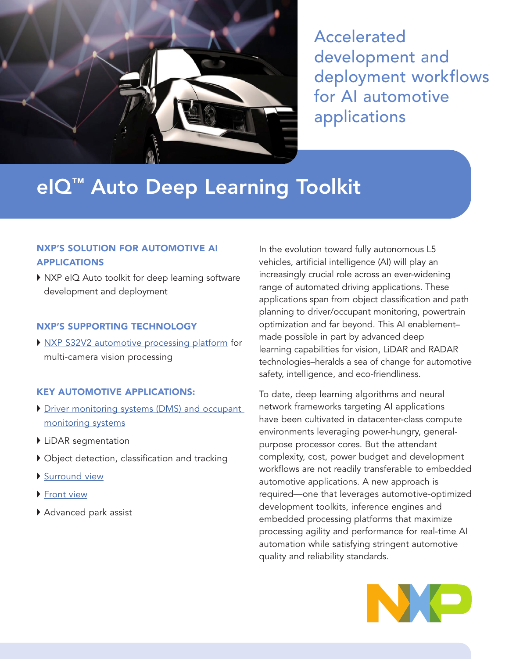

Accelerated development and deployment workflows for AI automotive applications

# eIQ<sup>™</sup> Auto Deep Learning Toolkit

# NXP'S SOLUTION FOR AUTOMOTIVE AI APPLICATIONS

▶ NXP eIQ Auto toolkit for deep learning software development and deployment

### NXP'S SUPPORTING TECHNOLOGY

▶ [NXP S32V2 automotive processing platform](https://www.nxp.com/products/processors-and-microcontrollers/arm-processors/s32v2-vision-mpus-/vision-processor-for-front-and-surround-view-camera-machine-learning-and-sensor-fusion:S32V234?&tid=vanS32V ) for multi-camera vision processing

#### KEY AUTOMOTIVE APPLICATIONS:

- Driver monitoring systems (DMS) and occupant [monitoring systems](https://www.nxp.com/applications/solutions/automotive/adas-and-highly-automated-driving/driver-monitoring-systems-dms-and-occupant-monitoring-systems-:DRIVER-MONITORING-SYSTEMS)
- ▶ LiDAR segmentation
- Object detection, classification and tracking
- [Surround view](https://www.nxp.com/applications/solutions/automotive/adas-and-highly-automated-driving/surround-view-:SURROUND-VIEW-PARK-ASSIST-SYSTEM)
- ▶ [Front view](https://www.nxp.com/applications/solutions/automotive/adas-and-highly-automated-driving/front-view-camera:FRONT-VIEW-CAMERA)
- Advanced park assist

In the evolution toward fully autonomous L5 vehicles, artificial intelligence (AI) will play an increasingly crucial role across an ever-widening range of automated driving applications. These applications span from object classification and path planning to driver/occupant monitoring, powertrain optimization and far beyond. This AI enablement– made possible in part by advanced deep learning capabilities for vision, LiDAR and RADAR technologies–heralds a sea of change for automotive safety, intelligence, and eco-friendliness.

To date, deep learning algorithms and neural network frameworks targeting AI applications have been cultivated in datacenter-class compute environments leveraging power-hungry, generalpurpose processor cores. But the attendant complexity, cost, power budget and development workflows are not readily transferable to embedded automotive applications. A new approach is required—one that leverages automotive-optimized development toolkits, inference engines and embedded processing platforms that maximize processing agility and performance for real-time AI automation while satisfying stringent automotive quality and reliability standards.

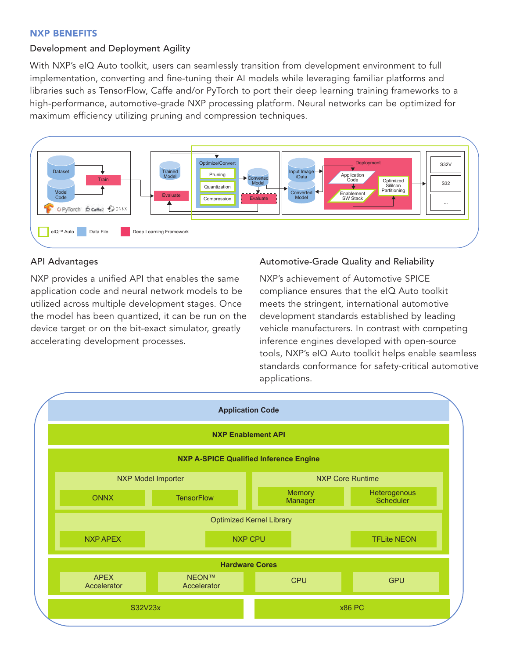#### NXP BENEFITS

## Development and Deployment Agility

With NXP's eIQ Auto toolkit, users can seamlessly transition from development environment to full implementation, converting and fine-tuning their AI models while leveraging familiar platforms and libraries such as TensorFlow, Caffe and/or PyTorch to port their deep learning training frameworks to a high-performance, automotive-grade NXP processing platform. Neural networks can be optimized for maximum efficiency utilizing pruning and compression techniques.



#### API Advantages

NXP provides a unified API that enables the same application code and neural network models to be utilized across multiple development stages. Once the model has been quantized, it can be run on the device target or on the bit-exact simulator, greatly accelerating development processes.

#### Automotive-Grade Quality and Reliability

NXP's achievement of Automotive SPICE compliance ensures that the eIQ Auto toolkit meets the stringent, international automotive development standards established by leading vehicle manufacturers. In contrast with competing inference engines developed with open-source tools, NXP's eIQ Auto toolkit helps enable seamless standards conformance for safety-critical automotive applications.

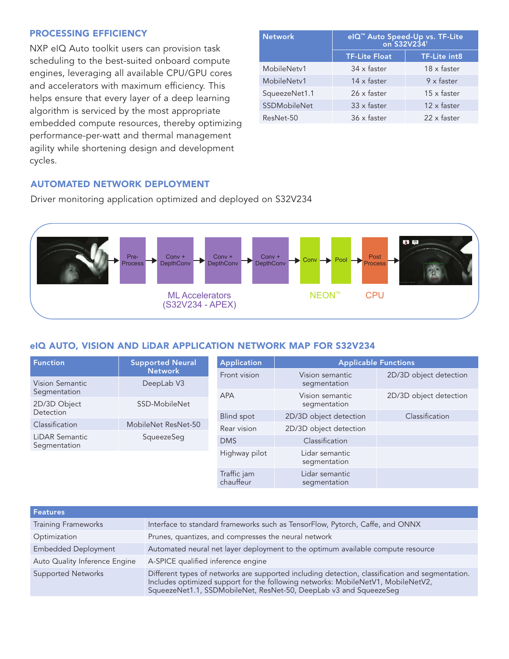## PROCESSING EFFICIENCY

NXP eIQ Auto toolkit users can provision task scheduling to the best-suited onboard compute engines, leveraging all available CPU/GPU cores and accelerators with maximum efficiency. This helps ensure that every layer of a deep learning algorithm is serviced by the most appropriate embedded compute resources, thereby optimizing performance-per-watt and thermal management agility while shortening design and development cycles.

| <b>Network</b> | elQ <sup>™</sup> Auto Speed-Up vs. TF-Lite<br>on S32V234 <sup>1</sup> |                    |  |
|----------------|-----------------------------------------------------------------------|--------------------|--|
|                | <b>TF-Lite Float</b>                                                  | TF-Lite int8       |  |
| MobileNetv1    | 34 x faster                                                           | 18 x faster        |  |
| MobileNetv1    | 14 x faster                                                           | $9 \times$ faster  |  |
| SqueezeNet1.1  | 26 x faster                                                           | $15 \times$ faster |  |
| SSDMobileNet   | $33 \times$ faster                                                    | 12 x faster        |  |
| ResNet-50      | 36 x faster                                                           | 22 x faster        |  |

# AUTOMATED NETWORK DEPLOYMENT

Driver monitoring application optimized and deployed on S32V234



# eIQ AUTO, VISION AND LIDAR APPLICATION NETWORK MAP FOR S32V234

| <b>Function</b>                       | <b>Supported Neural</b><br><b>Network</b> | <b>Application</b>       | <b>Applicable Functions</b>     |                        |
|---------------------------------------|-------------------------------------------|--------------------------|---------------------------------|------------------------|
|                                       |                                           | Front vision             | Vision semantic                 | 2D/3D object detection |
| Vision Semantic                       | DeepLab V3                                |                          | segmentation                    |                        |
| Segmentation                          |                                           | <b>APA</b>               | Vision semantic<br>segmentation | 2D/3D object detection |
| 2D/3D Object                          | SSD-MobileNet                             |                          |                                 |                        |
| Detection                             |                                           | <b>Blind spot</b>        | 2D/3D object detection          | Classification         |
| Classification                        | MobileNet ResNet-50                       | Rear vision              | 2D/3D object detection          |                        |
| <b>LiDAR Semantic</b><br>Segmentation | SqueezeSeg                                |                          |                                 |                        |
|                                       |                                           | <b>DMS</b>               | Classification                  |                        |
|                                       |                                           | Highway pilot            | Lidar semantic<br>segmentation  |                        |
|                                       |                                           | Traffic jam<br>chauffeur | Lidar semantic<br>segmentation  |                        |

| <b>Features</b>               |                                                                                                                                                                                                                                      |
|-------------------------------|--------------------------------------------------------------------------------------------------------------------------------------------------------------------------------------------------------------------------------------|
| <b>Training Frameworks</b>    | Interface to standard frameworks such as TensorFlow, Pytorch, Caffe, and ONNX                                                                                                                                                        |
| Optimization                  | Prunes, quantizes, and compresses the neural network                                                                                                                                                                                 |
| <b>Embedded Deployment</b>    | Automated neural net layer deployment to the optimum available compute resource                                                                                                                                                      |
| Auto Quality Inference Engine | A-SPICE qualified inference engine                                                                                                                                                                                                   |
| <b>Supported Networks</b>     | Different types of networks are supported including detection, classification and segmentation.<br>Includes optimized support for the following networks: MobileNetV1, MobileNetV2,<br>SqueezeNet1.1, SSDMobileNet, ResNet-50, DeepL |